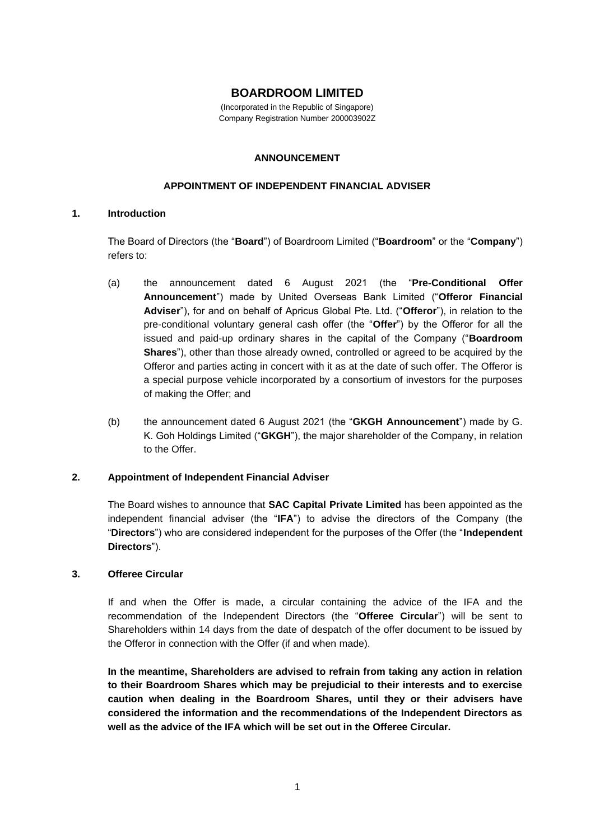# **BOARDROOM LIMITED**

(Incorporated in the Republic of Singapore) Company Registration Number 200003902Z

#### **ANNOUNCEMENT**

#### **APPOINTMENT OF INDEPENDENT FINANCIAL ADVISER**

### **1. Introduction**

The Board of Directors (the "**Board**") of Boardroom Limited ("**Boardroom**" or the "**Company**") refers to:

- (a) the announcement dated 6 August 2021 (the "**Pre-Conditional Offer Announcement**") made by United Overseas Bank Limited ("**Offeror Financial Adviser**"), for and on behalf of Apricus Global Pte. Ltd. ("**Offeror**"), in relation to the pre-conditional voluntary general cash offer (the "**Offer**") by the Offeror for all the issued and paid-up ordinary shares in the capital of the Company ("**Boardroom Shares**"), other than those already owned, controlled or agreed to be acquired by the Offeror and parties acting in concert with it as at the date of such offer. The Offeror is a special purpose vehicle incorporated by a consortium of investors for the purposes of making the Offer; and
- (b) the announcement dated 6 August 2021 (the "**GKGH Announcement**") made by G. K. Goh Holdings Limited ("**GKGH**"), the major shareholder of the Company, in relation to the Offer.

### **2. Appointment of Independent Financial Adviser**

The Board wishes to announce that **SAC Capital Private Limited** has been appointed as the independent financial adviser (the "**IFA**") to advise the directors of the Company (the "**Directors**") who are considered independent for the purposes of the Offer (the "**Independent Directors**").

### **3. Offeree Circular**

If and when the Offer is made, a circular containing the advice of the IFA and the recommendation of the Independent Directors (the "**Offeree Circular**") will be sent to Shareholders within 14 days from the date of despatch of the offer document to be issued by the Offeror in connection with the Offer (if and when made).

**In the meantime, Shareholders are advised to refrain from taking any action in relation to their Boardroom Shares which may be prejudicial to their interests and to exercise caution when dealing in the Boardroom Shares, until they or their advisers have considered the information and the recommendations of the Independent Directors as well as the advice of the IFA which will be set out in the Offeree Circular.**